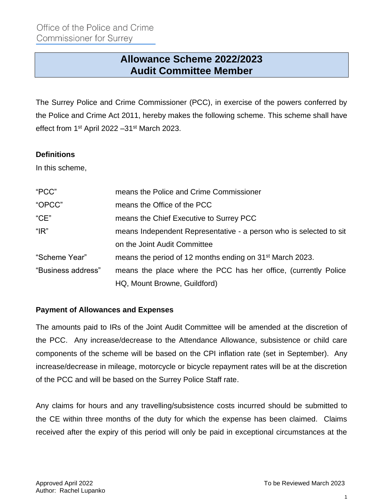# **Allowance Scheme 2022/2023 Audit Committee Member**

The Surrey Police and Crime Commissioner (PCC), in exercise of the powers conferred by the Police and Crime Act 2011, hereby makes the following scheme. This scheme shall have effect from 1<sup>st</sup> April 2022 - 31<sup>st</sup> March 2023.

#### **Definitions**

In this scheme,

| "PCC"              | means the Police and Crime Commissioner                              |
|--------------------|----------------------------------------------------------------------|
| "OPCC"             | means the Office of the PCC                                          |
| "CE"               | means the Chief Executive to Surrey PCC                              |
| " $IR"$            | means Independent Representative - a person who is selected to sit   |
|                    | on the Joint Audit Committee                                         |
| "Scheme Year"      | means the period of 12 months ending on 31 <sup>st</sup> March 2023. |
| "Business address" | means the place where the PCC has her office, (currently Police      |
|                    | HQ, Mount Browne, Guildford)                                         |

#### **Payment of Allowances and Expenses**

The amounts paid to IRs of the Joint Audit Committee will be amended at the discretion of the PCC. Any increase/decrease to the Attendance Allowance, subsistence or child care components of the scheme will be based on the CPI inflation rate (set in September). Any increase/decrease in mileage, motorcycle or bicycle repayment rates will be at the discretion of the PCC and will be based on the Surrey Police Staff rate.

Any claims for hours and any travelling/subsistence costs incurred should be submitted to the CE within three months of the duty for which the expense has been claimed. Claims received after the expiry of this period will only be paid in exceptional circumstances at the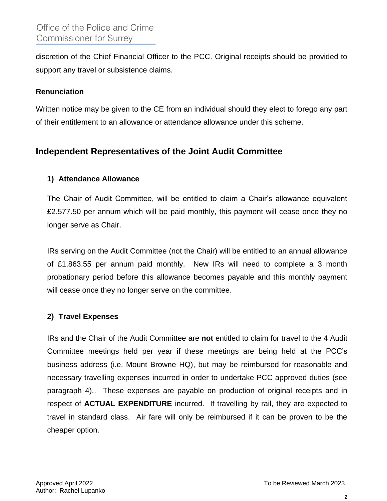discretion of the Chief Financial Officer to the PCC. Original receipts should be provided to support any travel or subsistence claims.

#### **Renunciation**

Written notice may be given to the CE from an individual should they elect to forego any part of their entitlement to an allowance or attendance allowance under this scheme.

# **Independent Representatives of the Joint Audit Committee**

### **1) Attendance Allowance**

The Chair of Audit Committee, will be entitled to claim a Chair's allowance equivalent £2.577.50 per annum which will be paid monthly, this payment will cease once they no longer serve as Chair.

IRs serving on the Audit Committee (not the Chair) will be entitled to an annual allowance of £1,863.55 per annum paid monthly. New IRs will need to complete a 3 month probationary period before this allowance becomes payable and this monthly payment will cease once they no longer serve on the committee.

### **2) Travel Expenses**

IRs and the Chair of the Audit Committee are **not** entitled to claim for travel to the 4 Audit Committee meetings held per year if these meetings are being held at the PCC's business address (i.e. Mount Browne HQ), but may be reimbursed for reasonable and necessary travelling expenses incurred in order to undertake PCC approved duties (see paragraph 4).. These expenses are payable on production of original receipts and in respect of **ACTUAL EXPENDITURE** incurred. If travelling by rail, they are expected to travel in standard class. Air fare will only be reimbursed if it can be proven to be the cheaper option.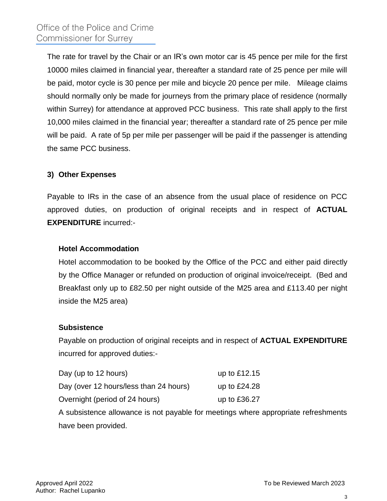The rate for travel by the Chair or an IR's own motor car is 45 pence per mile for the first 10000 miles claimed in financial year, thereafter a standard rate of 25 pence per mile will be paid, motor cycle is 30 pence per mile and bicycle 20 pence per mile. Mileage claims should normally only be made for journeys from the primary place of residence (normally within Surrey) for attendance at approved PCC business. This rate shall apply to the first 10,000 miles claimed in the financial year; thereafter a standard rate of 25 pence per mile will be paid. A rate of 5p per mile per passenger will be paid if the passenger is attending the same PCC business.

## **3) Other Expenses**

Payable to IRs in the case of an absence from the usual place of residence on PCC approved duties, on production of original receipts and in respect of **ACTUAL EXPENDITURE** incurred:-

#### **Hotel Accommodation**

Hotel accommodation to be booked by the Office of the PCC and either paid directly by the Office Manager or refunded on production of original invoice/receipt. (Bed and Breakfast only up to £82.50 per night outside of the M25 area and £113.40 per night inside the M25 area)

#### **Subsistence**

Payable on production of original receipts and in respect of **ACTUAL EXPENDITURE** incurred for approved duties:-

| Day (up to 12 hours)                   | up to $£12.15$ |
|----------------------------------------|----------------|
| Day (over 12 hours/less than 24 hours) | up to $£24.28$ |
| Overnight (period of 24 hours)         | up to £36.27   |

A subsistence allowance is not payable for meetings where appropriate refreshments have been provided.